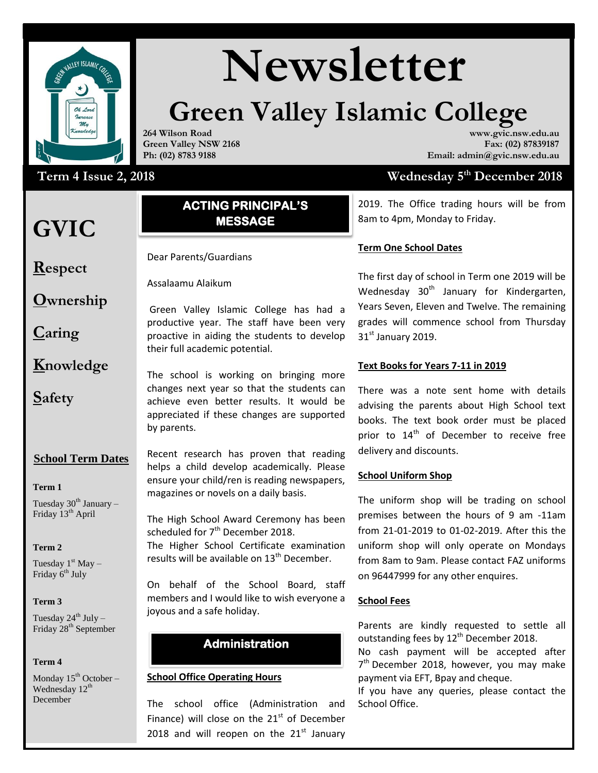

# **Newsletter**

## **Green Valley Islamic College www.gvic.nsw.edu.au**

**264 Wilson Road Green Valley NSW 2168 Ph: (02) 8783 9188**

### Term 4 Issue 2, 2018 Wednesday 5

# **GVIC**

**Respect**

**Caring**

**Safety**

**Ownership**

**Knowledge**

#### Assalaam Alaikum WRWB **ACTING PRINCIPAL'S MESSAGE**

Dear Parents/Guardians

Assalaamu Alaikum

Green Valley Islamic College has had a productive year. The staff have been very proactive in aiding the students to develop their full academic potential.

The school is working on bringing more changes next year so that the students can achieve even better results. It would be appreciated if these changes are supported by parents.

#### **School Term Dates**

**Term 1** 

Tuesday  $30<sup>th</sup>$  January – Friday 13<sup>th</sup> April

#### **Term 2**

Tuesday  $1<sup>st</sup>$  May – Friday 6<sup>th</sup> July

#### **Term 3**

Tuesday  $24^{th}$  July – Friday 28<sup>th</sup> September

#### **Term 4**

Monday  $15^{th}$  October – Wednesday 12<sup>th</sup> December

Recent research has proven that reading helps a child develop academically. Please ensure your child/ren is reading newspapers, magazines or novels on a daily basis.

The High School Award Ceremony has been scheduled for  $7<sup>th</sup>$  December 2018. The Higher School Certificate examination

results will be available on  $13<sup>th</sup>$  December. On behalf of the School Board, staff

members and I would like to wish everyone a joyous and a safe holiday.

#### **Administration**

#### **School Office Operating Hours**

The school office (Administration and Finance) will close on the  $21<sup>st</sup>$  of December 2018 and will reopen on the  $21<sup>st</sup>$  January

## **th December 2018**

**Email: admin@gvic.nsw.edu.au**

**Fax: (02) 87839187**

2019. The Office trading hours will be from 8am to 4pm, Monday to Friday.

#### **Term One School Dates**

The first day of school in Term one 2019 will be Wednesday  $30<sup>th</sup>$  January for Kindergarten, Years Seven, Eleven and Twelve. The remaining grades will commence school from Thursday  $31<sup>st</sup>$  January 2019.

#### **Text Books for Years 7-11 in 2019**

There was a note sent home with details advising the parents about High School text books. The text book order must be placed prior to 14<sup>th</sup> of December to receive free delivery and discounts.

#### **School Uniform Shop**

The uniform shop will be trading on school premises between the hours of 9 am -11am from 21-01-2019 to 01-02-2019. After this the uniform shop will only operate on Mondays from 8am to 9am. Please contact FAZ uniforms on 96447999 for any other enquires.

#### **School Fees**

**SECONDARY 19 THE** *Parents* are kindly requested to settle all outstanding fees by  $12^{th}$  December 2018.

No cash payment will be accepted after 7<sup>th</sup> December 2018, however, you may make payment via EFT, Bpay and cheque.

If you have any queries, please contact the School Office.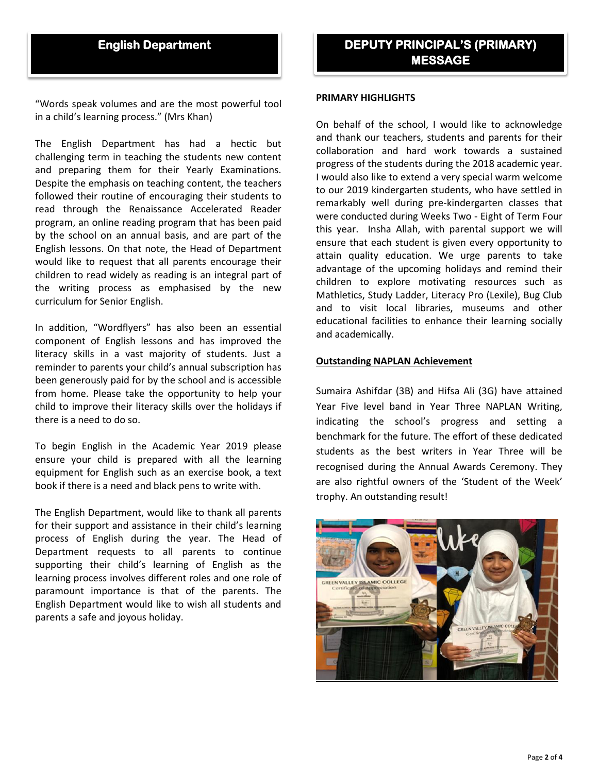#### **English Department**

"Words speak volumes and are the most powerful tool in a child's learning process." (Mrs Khan)

The English Department has had a hectic but challenging term in teaching the students new content and preparing them for their Yearly Examinations. Despite the emphasis on teaching content, the teachers followed their routine of encouraging their students to read through the Renaissance Accelerated Reader program, an online reading program that has been paid by the school on an annual basis, and are part of the English lessons. On that note, the Head of Department would like to request that all parents encourage their children to read widely as reading is an integral part of the writing process as emphasised by the new curriculum for Senior English.

In addition, "Wordflyers" has also been an essential component of English lessons and has improved the literacy skills in a vast majority of students. Just a reminder to parents your child's annual subscription has been generously paid for by the school and is accessible from home. Please take the opportunity to help your child to improve their literacy skills over the holidays if there is a need to do so.

To begin English in the Academic Year 2019 please ensure your child is prepared with all the learning equipment for English such as an exercise book, a text book if there is a need and black pens to write with.

The English Department, would like to thank all parents for their support and assistance in their child's learning process of English during the year. The Head of Department requests to all parents to continue supporting their child's learning of English as the learning process involves different roles and one role of paramount importance is that of the parents. The English Department would like to wish all students and parents a safe and joyous holiday.

#### **PRIMARY HIGHLIGHTS**

On behalf of the school, I would like to acknowledge and thank our teachers, students and parents for their collaboration and hard work towards a sustained progress of the students during the 2018 academic year. I would also like to extend a very special warm welcome to our 2019 kindergarten students, who have settled in remarkably well during pre-kindergarten classes that were conducted during Weeks Two - Eight of Term Four this year. Insha Allah, with parental support we will ensure that each student is given every opportunity to attain quality education. We urge parents to take advantage of the upcoming holidays and remind their children to explore motivating resources such as Mathletics, Study Ladder, Literacy Pro (Lexile), Bug Club and to visit local libraries, museums and other educational facilities to enhance their learning socially and academically.

#### **Outstanding NAPLAN Achievement**

Sumaira Ashifdar (3B) and Hifsa Ali (3G) have attained Year Five level band in Year Three NAPLAN Writing, indicating the school's progress and setting a benchmark for the future. The effort of these dedicated students as the best writers in Year Three will be recognised during the Annual Awards Ceremony. They are also rightful owners of the 'Student of the Week' trophy. An outstanding result!

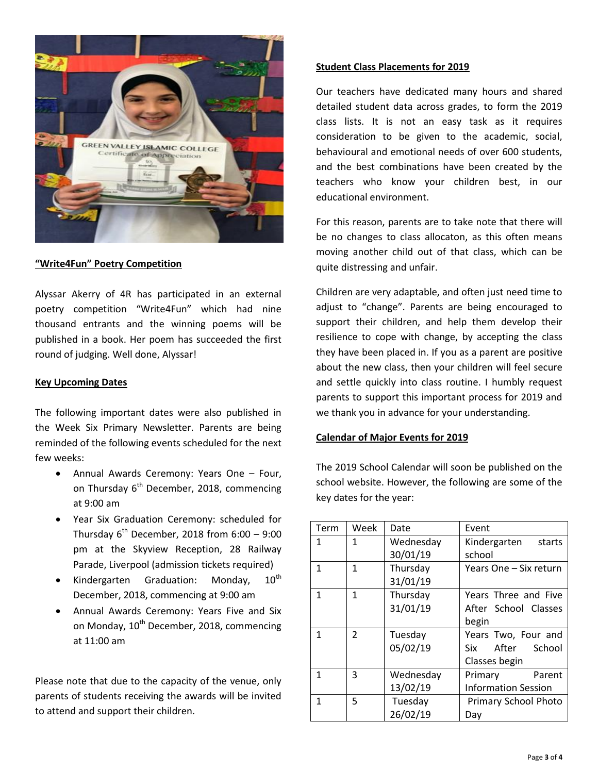

#### **"Write4Fun" Poetry Competition**

Alyssar Akerry of 4R has participated in an external poetry competition "Write4Fun" which had nine thousand entrants and the winning poems will be published in a book. Her poem has succeeded the first round of judging. Well done, Alyssar!

#### **Key Upcoming Dates**

The following important dates were also published in the Week Six Primary Newsletter. Parents are being reminded of the following events scheduled for the next few weeks:

- Annual Awards Ceremony: Years One Four, on Thursday  $6<sup>th</sup>$  December, 2018, commencing at 9:00 am
- Year Six Graduation Ceremony: scheduled for Thursday  $6^{th}$  December, 2018 from  $6:00 - 9:00$ pm at the Skyview Reception, 28 Railway Parade, Liverpool (admission tickets required)
- Kindergarten Graduation: Monday,  $10^{th}$ December, 2018, commencing at 9:00 am
- Annual Awards Ceremony: Years Five and Six on Monday,  $10^{th}$  December, 2018, commencing at 11:00 am

Please note that due to the capacity of the venue, only parents of students receiving the awards will be invited to attend and support their children.

#### **Student Class Placements for 2019**

Our teachers have dedicated many hours and shared detailed student data across grades, to form the 2019 class lists. It is not an easy task as it requires consideration to be given to the academic, social, behavioural and emotional needs of over 600 students, and the best combinations have been created by the teachers who know your children best, in our educational environment.

For this reason, parents are to take note that there will be no changes to class allocaton, as this often means moving another child out of that class, which can be quite distressing and unfair.

Children are very adaptable, and often just need time to adjust to "change". Parents are being encouraged to support their children, and help them develop their resilience to cope with change, by accepting the class they have been placed in. If you as a parent are positive about the new class, then your children will feel secure and settle quickly into class routine. I humbly request parents to support this important process for 2019 and we thank you in advance for your understanding.

#### **Calendar of Major Events for 2019**

The 2019 School Calendar will soon be published on the school website. However, the following are some of the key dates for the year:

| Term | Week           | Date      | Event                      |
|------|----------------|-----------|----------------------------|
| 1    | 1              | Wednesday | Kindergarten<br>starts     |
|      |                | 30/01/19  | school                     |
| 1    | 1              | Thursday  | Years One - Six return     |
|      |                | 31/01/19  |                            |
| 1    | $\mathbf{1}$   | Thursday  | Years Three and Five       |
|      |                | 31/01/19  | After School Classes       |
|      |                |           | begin                      |
| 1    | $\overline{2}$ | Tuesday   | Years Two, Four and        |
|      |                | 05/02/19  | Six<br>After School        |
|      |                |           | Classes begin              |
| 1    | 3              | Wednesday | Primary<br>Parent          |
|      |                | 13/02/19  | <b>Information Session</b> |
| 1    | 5              | Tuesday   | Primary School Photo       |
|      |                | 26/02/19  | Day                        |